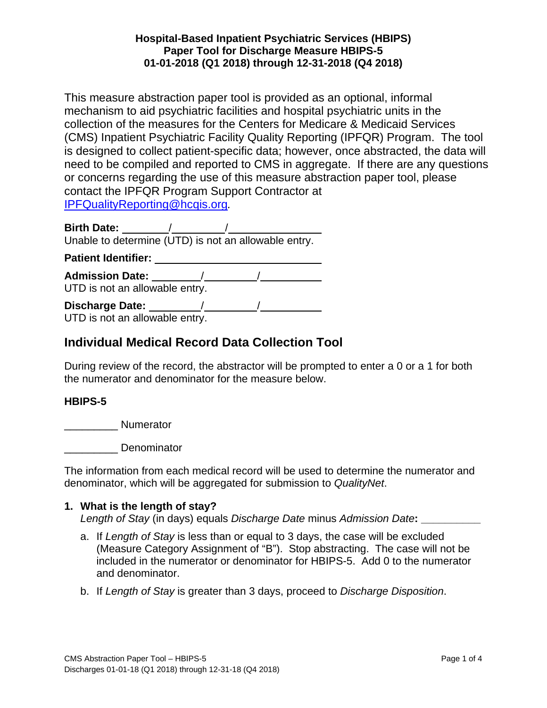This measure abstraction paper tool is provided as an optional, informal mechanism to aid psychiatric facilities and hospital psychiatric units in the collection of the measures for the Centers for Medicare & Medicaid Services (CMS) Inpatient Psychiatric Facility Quality Reporting (IPFQR) Program. The tool is designed to collect patient-specific data; however, once abstracted, the data will need to be compiled and reported to CMS in aggregate. If there are any questions or concerns regarding the use of this measure abstraction paper tool, please contact the IPFQR Program Support Contractor at [IPFQualityReporting@hcqis.org](mailto:IPFQualityReporting@hcqis.org)*.* 

**Birth Date:** / / Unable to determine (UTD) is not an allowable entry. Patient Identifier: **William Patient Identifier: Patient Identifier: Admission Date:** / / UTD is not an allowable entry. **Discharge Date:** / /

UTD is not an allowable entry.

# **Individual Medical Record Data Collection Tool**

During review of the record, the abstractor will be prompted to enter a 0 or a 1 for both the numerator and denominator for the measure below.

#### **HBIPS-5**

\_\_\_\_\_\_\_\_\_ Numerator

\_\_\_\_\_\_\_\_\_ Denominator

The information from each medical record will be used to determine the numerator and denominator, which will be aggregated for submission to *QualityNet*.

#### **1. What is the length of stay?**

*Length of Stay* (in days) equals *Discharge Date* minus *Admission Date***: \_\_\_\_\_\_\_\_\_\_**

- a. If *Length of Stay* is less than or equal to 3 days, the case will be excluded (Measure Category Assignment of "B"). Stop abstracting. The case will not be included in the numerator or denominator for HBIPS-5. Add 0 to the numerator and denominator.
- b. If *Length of Stay* is greater than 3 days, proceed to *Discharge Disposition*.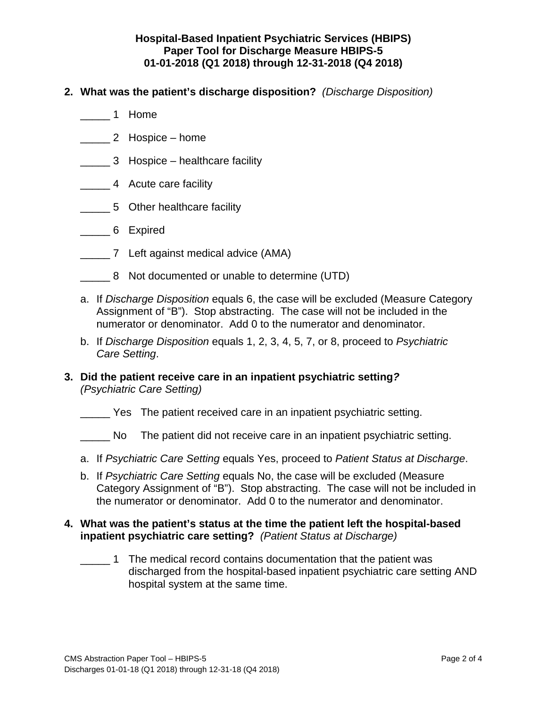- **2. What was the patient's discharge disposition?** *(Discharge Disposition)*
	- \_\_\_\_\_ 1 Home
	- \_\_\_\_\_ 2 Hospice home
	- **Example 2 Hospice healthcare facility**
	- **\_\_\_\_\_\_\_4** Acute care facility
	- 5 Other healthcare facility
	- \_\_\_\_\_ 6 Expired
	- \_\_\_\_\_ 7 Left against medical advice (AMA)
	- 8 Not documented or unable to determine (UTD)
	- a. If *Discharge Disposition* equals 6, the case will be excluded (Measure Category Assignment of "B"). Stop abstracting. The case will not be included in the numerator or denominator. Add 0 to the numerator and denominator.
	- b. If *Discharge Disposition* equals 1, 2, 3, 4, 5, 7, or 8, proceed to *Psychiatric Care Setting*.
- **3. Did the patient receive care in an inpatient psychiatric setting***? (Psychiatric Care Setting)*
	- \_\_\_\_\_ Yes The patient received care in an inpatient psychiatric setting.
	- No The patient did not receive care in an inpatient psychiatric setting.
	- a. If *Psychiatric Care Setting* equals Yes, proceed to *Patient Status at Discharge*.
	- b. If *Psychiatric Care Setting* equals No, the case will be excluded (Measure Category Assignment of "B"). Stop abstracting. The case will not be included in the numerator or denominator. Add 0 to the numerator and denominator.

#### **4. What was the patient's status at the time the patient left the hospital-based inpatient psychiatric care setting?** *(Patient Status at Discharge)*

\_\_\_\_\_ 1 The medical record contains documentation that the patient was discharged from the hospital-based inpatient psychiatric care setting AND hospital system at the same time.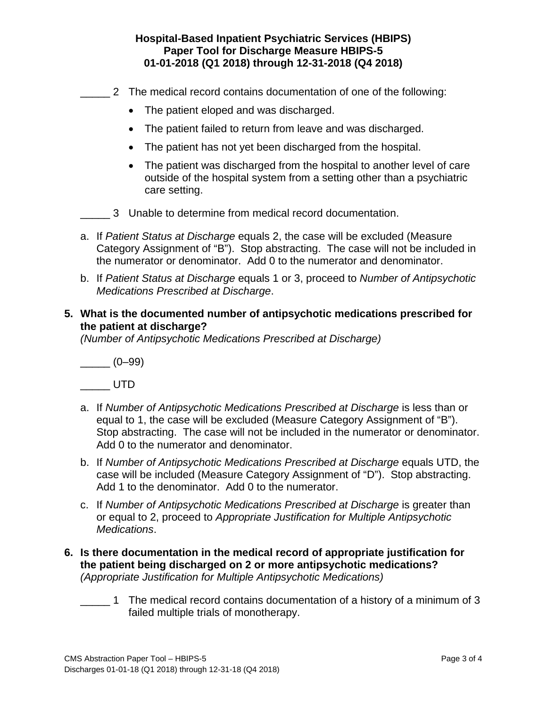- 2 The medical record contains documentation of one of the following:
	- The patient eloped and was discharged.
	- The patient failed to return from leave and was discharged.
	- The patient has not yet been discharged from the hospital.
	- The patient was discharged from the hospital to another level of care outside of the hospital system from a setting other than a psychiatric care setting.
- 3 Unable to determine from medical record documentation.
- a. If *Patient Status at Discharge* equals 2, the case will be excluded (Measure Category Assignment of "B"). Stop abstracting. The case will not be included in the numerator or denominator. Add 0 to the numerator and denominator.
- b. If *Patient Status at Discharge* equals 1 or 3, proceed to *Number of Antipsychotic Medications Prescribed at Discharge*.

#### **5. What is the documented number of antipsychotic medications prescribed for the patient at discharge?**

*(Number of Antipsychotic Medications Prescribed at Discharge)*

 $\frac{(-1)^{10}}{2}$ 

\_\_\_\_\_ UTD

- a. If *Number of Antipsychotic Medications Prescribed at Discharge* is less than or equal to 1, the case will be excluded (Measure Category Assignment of "B"). Stop abstracting. The case will not be included in the numerator or denominator. Add 0 to the numerator and denominator.
- b. If *Number of Antipsychotic Medications Prescribed at Discharge* equals UTD, the case will be included (Measure Category Assignment of "D"). Stop abstracting. Add 1 to the denominator. Add 0 to the numerator.
- c. If *Number of Antipsychotic Medications Prescribed at Discharge* is greater than or equal to 2, proceed to *Appropriate Justification for Multiple Antipsychotic Medications*.
- **6. Is there documentation in the medical record of appropriate justification for the patient being discharged on 2 or more antipsychotic medications?**  *(Appropriate Justification for Multiple Antipsychotic Medications)*
	- 1 The medical record contains documentation of a history of a minimum of 3 failed multiple trials of monotherapy.